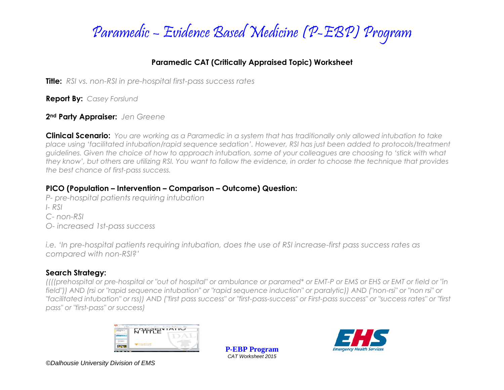

### **Paramedic CAT (Critically Appraised Topic) Worksheet**

**Title:** *RSI vs. non-RSI in pre-hospital first-pass success rates*

**Report By:** *Casey Forslund*

**2nd Party Appraiser:** *Jen Greene*

**Clinical Scenario:** *You are working as a Paramedic in a system that has traditionally only allowed intubation to take place using 'facilitated intubation/rapid sequence sedation'. However, RSI has just been added to protocols/treatment guidelines. Given the choice of how to approach intubation, some of your colleagues are choosing to 'stick with what they know', but others are utilizing RSI. You want to follow the evidence, in order to choose the technique that provides the best chance of first-pass success.* 

## **PICO (Population – Intervention – Comparison – Outcome) Question:**

- *P- pre-hospital patients requiring intubation*
- *I- RSI*
- *C- non-RSI*
- *O- increased 1st-pass success*

*i.e. 'In pre-hospital patients requiring intubation, does the use of RSI increase-first pass success rates as compared with non-RSI?'*

## **Search Strategy:**

*((((prehospital or pre-hospital or "out of hospital" or ambulance or paramed\* or EMT-P or EMS or EHS or EMT or field or "in field")) AND (rsi or "rapid sequence intubation" or "rapid sequence induction" or paralytic)) AND ("non-rsi" or "non rsi" or "facilitated intubation" or rss)) AND ("first pass success" or "first-pass-success" or First-pass success" or "success rates" or "first pass" or "first-pass" or success)*



**P-EBP Program** *CAT Worksheet 2015*

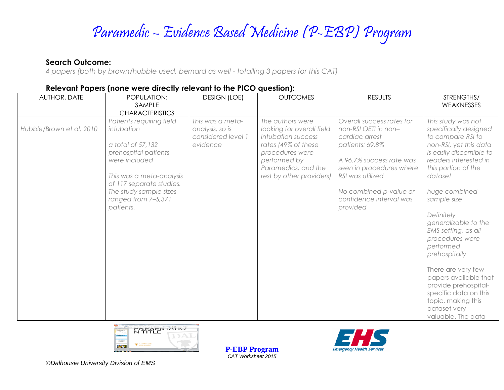#### **Search Outcome:**

*4 papers (both by brown/hubble used, bernard as well - totalling 3 papers for this CAT)*

| <b>AUTHOR, DATE</b>      | POPULATION:<br>SAMPLE<br><b>CHARACTERISTICS</b>                                                                                                                                                                            | <b>DESIGN (LOE)</b>                                                   | <b>OUTCOMES</b>                                                                                                                                                                  | <b>RESULTS</b>                                                                                                                                                                                                                      | STRENGTHS/<br>WEAKNESSES                                                                                                                                                                                                                                                                                                                                                                                                                                                                    |
|--------------------------|----------------------------------------------------------------------------------------------------------------------------------------------------------------------------------------------------------------------------|-----------------------------------------------------------------------|----------------------------------------------------------------------------------------------------------------------------------------------------------------------------------|-------------------------------------------------------------------------------------------------------------------------------------------------------------------------------------------------------------------------------------|---------------------------------------------------------------------------------------------------------------------------------------------------------------------------------------------------------------------------------------------------------------------------------------------------------------------------------------------------------------------------------------------------------------------------------------------------------------------------------------------|
| Hubble/Brown et al, 2010 | Patients requiring field<br>intubation<br>a total of 57,132<br>prehospital patients<br>were included<br>This was a meta-analysis<br>of 117 separate studies.<br>The study sample sizes<br>ranged from 7-5,371<br>patients. | This was a meta-<br>analysis, so is<br>considered level 1<br>evidence | The authors were<br>looking for overall field<br>intubation success<br>rates (49% of these<br>procedures were<br>performed by<br>Paramedics, and the<br>rest by other providers) | Overall success rates for<br>non-RSI OETI in non-<br>cardiac arrest<br>patients: 69.8%<br>A 96.7% success rate was<br>seen in procedures where<br>RSI was utilized<br>No combined p-value or<br>confidence interval was<br>provided | This study was not<br>specifically designed<br>to compare RSI to<br>non-RSI, yet this data<br>is easily discernible to<br>readers interested in<br>this portion of the<br>dataset<br>huge combined<br>sample size<br>Definitely<br>generalizable to the<br>EMS setting, as all<br>procedures were<br>performed<br>prehospitally<br>There are very few<br>papers available that<br>provide prehospital-<br>specific data on this<br>topic, making this<br>dataset very<br>valuable. The data |

#### **Relevant Papers (none were directly relevant to the PICO question):**



**P-EBP Program** *CAT Worksheet 2015*

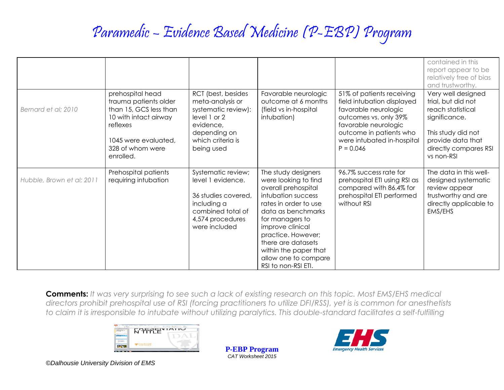|                           |                                                                                                                                                                   |                                                                                                                                               |                                                                                                                                                                                                                                                                                                    |                                                                                                                                                                                                          | contained in this<br>report appear to be<br>relatively free of bias<br>and trustworthy.                                                                          |
|---------------------------|-------------------------------------------------------------------------------------------------------------------------------------------------------------------|-----------------------------------------------------------------------------------------------------------------------------------------------|----------------------------------------------------------------------------------------------------------------------------------------------------------------------------------------------------------------------------------------------------------------------------------------------------|----------------------------------------------------------------------------------------------------------------------------------------------------------------------------------------------------------|------------------------------------------------------------------------------------------------------------------------------------------------------------------|
| Bernard et al; 2010       | prehospital head<br>trauma patients older<br>than 15, GCS less than<br>10 with intact airway<br>reflexes<br>1045 were evaluated,<br>328 of whom were<br>enrolled. | RCT (best, besides<br>meta-analysis or<br>systematic review):<br>level 1 or 2<br>evidence,<br>depending on<br>which criteria is<br>being used | Favorable neurologic<br>outcome at 6 months<br>(field vs in-hospital<br>intubation)                                                                                                                                                                                                                | 51% of patients receiving<br>field intubation displayed<br>favorable neurologic<br>outcomes vs. only 39%<br>favorable neurologic<br>outcome in patients who<br>were intubated in-hospital<br>$P = 0.046$ | Very well designed<br>trial, but did not<br>reach statistical<br>significance.<br>This study did not<br>provide data that<br>directly compares RSI<br>vs non-RSI |
| Hubble, Brown et al; 2011 | Prehospital patients<br>requiring intubation                                                                                                                      | Systematic review;<br>level 1 evidence.<br>36 studies covered,<br>including a<br>combined total of<br>4,574 procedures<br>were included       | The study designers<br>were looking to find<br>overall prehospital<br>intubation success<br>rates in order to use<br>data as benchmarks<br>for managers to<br>improve clinical<br>practice. However;<br>there are datasets<br>within the paper that<br>allow one to compare<br>RSI to non-RSI ETI. | 96.7% success rate for<br>prehospital ETI using RSI as<br>compared with 86.4% for<br>prehospital ETI performed<br>without RSI                                                                            | The data in this well-<br>designed systematic<br>review appear<br>trustworthy and are<br>directly applicable to<br>EMS/EHS                                       |

**Comments:** *It was very surprising to see such a lack of existing research on this topic. Most EMS/EHS medical directors prohibit prehospital use of RSI (forcing practitioners to utilize DFI/RSS), yet is is common for anesthetists to claim it is irresponsible to intubate without utilizing paralytics. This double-standard facilitates a self-fulfilling* 



**P-EBP Program** *CAT Worksheet 2015*

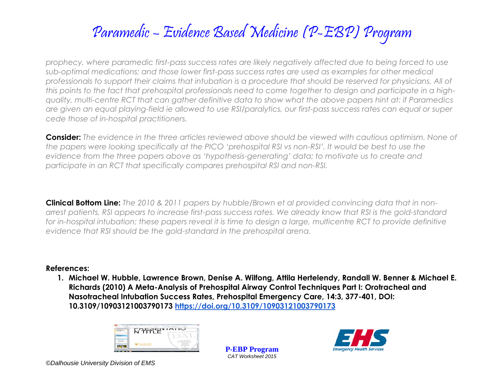*prophecy, where paramedic first-pass success rates are likely negatively affected due to being forced to use sub-optimal medications; and those lower first-pass success rates are used as examples for other medical professionals to support their claims that intubation is a procedure that should be reserved for physicians. All of this points to the fact that prehospital professionals need to come together to design and participate in a highquality, multi-centre RCT that can gather definitive data to show what the above papers hint at: if Paramedics are given an equal playing-field ie allowed to use RSI/paralytics, our first-pass success rates can equal or super cede those of in-hospital practitioners.* 

**Consider:** *The evidence in the three articles reviewed above should be viewed with cautious optimism. None of the papers were looking specifically at the PICO 'prehospital RSI vs non-RSI'. It would be best to use the evidence from the three papers above as 'hypothesis-generating' data; to motivate us to create and participate in an RCT that specifically compares prehospital RSI and non-RSI.*

**Clinical Bottom Line:** *The 2010 & 2011 papers by hubble/Brown et al provided convincing data that in nonarrest patients, RSI appears to increase first-pass success rates. We already know that RSI is the gold-standard*  for in-hospital intubation; these papers reveal it is time to design a large, multicentre RCT to provide definitive *evidence that RSI should be the gold-standard in the prehospital arena.* 

#### **References:**

**1. Michael W. Hubble, Lawrence Brown, Denise A. Wilfong, Attila Hertelendy, Randall W. Benner & Michael E. Richards (2010) A Meta-Analysis of Prehospital Airway Control Techniques Part I: Orotracheal and Nasotracheal Intubation Success Rates, Prehospital Emergency Care, 14:3, 377-401, DOI: 10.3109/10903121003790173<https://doi.org/10.3109/10903121003790173>**



**P-EBP Program** *CAT Worksheet 2015*